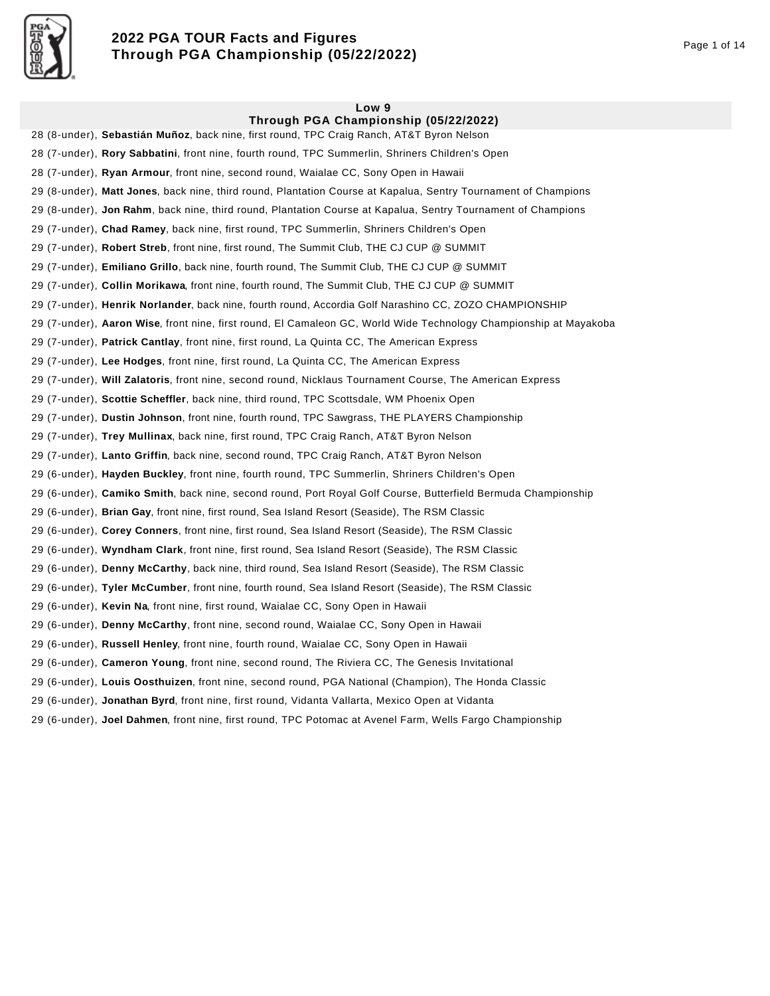

# **2022 PGA TOUR Facts and Figures Through PGA Championship (05/22/2022)** Page 1 of 14

#### **Low 9 Through PGA Championship (05/22/2022)**

28 (8-under), **Sebastián Muñoz**, back nine, first round, TPC Craig Ranch, AT&T Byron Nelson 28 (7-under), **Rory Sabbatini**, front nine, fourth round, TPC Summerlin, Shriners Children's Open 28 (7-under), **Ryan Armour**, front nine, second round, Waialae CC, Sony Open in Hawaii 29 (8-under), **Matt Jones**, back nine, third round, Plantation Course at Kapalua, Sentry Tournament of Champions 29 (8-under), **Jon Rahm**, back nine, third round, Plantation Course at Kapalua, Sentry Tournament of Champions 29 (7-under), **Chad Ramey**, back nine, first round, TPC Summerlin, Shriners Children's Open 29 (7-under), **Robert Streb**, front nine, first round, The Summit Club, THE CJ CUP @ SUMMIT 29 (7-under), **Emiliano Grillo**, back nine, fourth round, The Summit Club, THE CJ CUP @ SUMMIT 29 (7-under), **Collin Morikawa**, front nine, fourth round, The Summit Club, THE CJ CUP @ SUMMIT 29 (7-under), **Henrik Norlander**, back nine, fourth round, Accordia Golf Narashino CC, ZOZO CHAMPIONSHIP 29 (7-under), **Aaron Wise**, front nine, first round, El Camaleon GC, World Wide Technology Championship at Mayakoba 29 (7-under), **Patrick Cantlay**, front nine, first round, La Quinta CC, The American Express 29 (7-under), **Lee Hodges**, front nine, first round, La Quinta CC, The American Express 29 (7-under), **Will Zalatoris**, front nine, second round, Nicklaus Tournament Course, The American Express 29 (7-under), **Scottie Scheffler**, back nine, third round, TPC Scottsdale, WM Phoenix Open 29 (7-under), **Dustin Johnson**, front nine, fourth round, TPC Sawgrass, THE PLAYERS Championship 29 (7-under), **Trey Mullinax**, back nine, first round, TPC Craig Ranch, AT&T Byron Nelson 29 (7-under), **Lanto Griffin**, back nine, second round, TPC Craig Ranch, AT&T Byron Nelson 29 (6-under), **Hayden Buckley**, front nine, fourth round, TPC Summerlin, Shriners Children's Open 29 (6-under), **Camiko Smith**, back nine, second round, Port Royal Golf Course, Butterfield Bermuda Championship 29 (6-under), **Brian Gay**, front nine, first round, Sea Island Resort (Seaside), The RSM Classic 29 (6-under), **Corey Conners**, front nine, first round, Sea Island Resort (Seaside), The RSM Classic 29 (6-under), **Wyndham Clark**, front nine, first round, Sea Island Resort (Seaside), The RSM Classic 29 (6-under), **Denny McCarthy**, back nine, third round, Sea Island Resort (Seaside), The RSM Classic 29 (6-under), **Tyler McCumber**, front nine, fourth round, Sea Island Resort (Seaside), The RSM Classic 29 (6-under), **Kevin Na**, front nine, first round, Waialae CC, Sony Open in Hawaii 29 (6-under), **Denny McCarthy**, front nine, second round, Waialae CC, Sony Open in Hawaii 29 (6-under), **Russell Henley**, front nine, fourth round, Waialae CC, Sony Open in Hawaii 29 (6-under), **Cameron Young**, front nine, second round, The Riviera CC, The Genesis Invitational 29 (6-under), **Louis Oosthuizen**, front nine, second round, PGA National (Champion), The Honda Classic 29 (6-under), **Jonathan Byrd**, front nine, first round, Vidanta Vallarta, Mexico Open at Vidanta

29 (6-under), **Joel Dahmen**, front nine, first round, TPC Potomac at Avenel Farm, Wells Fargo Championship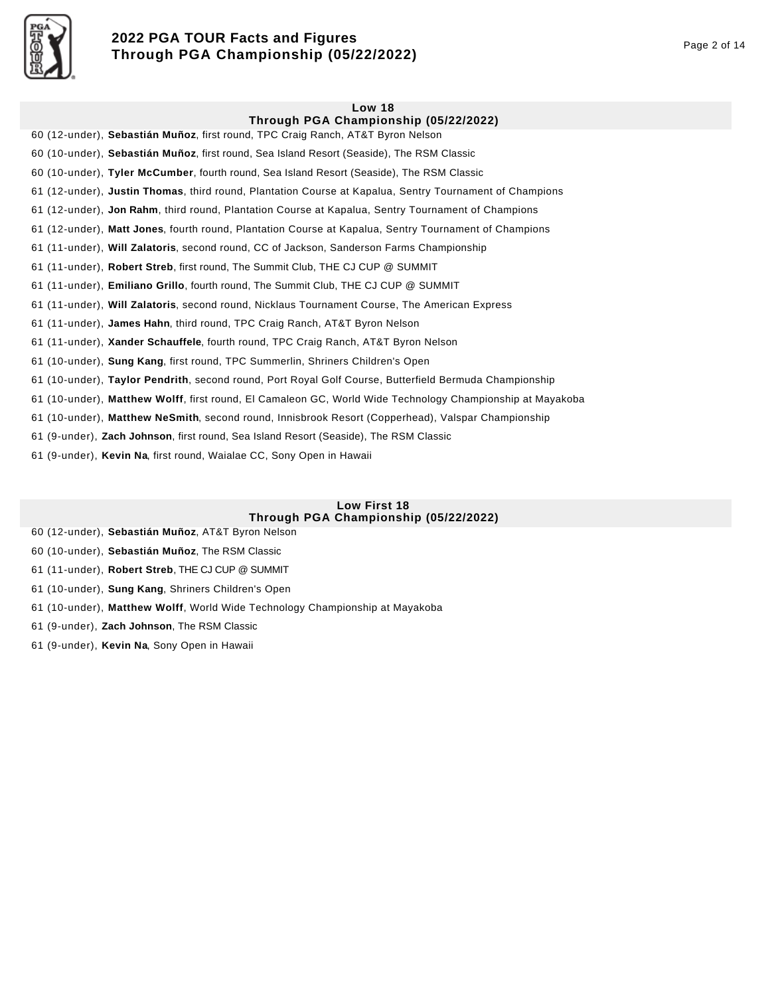

# **2022 PGA TOUR Facts and Figures Through PGA Championship (05/22/2022)** Page 2 of 14

# **Low 18 Through PGA Championship (05/22/2022)**  60 (12-under), **Sebastián Muñoz**, first round, TPC Craig Ranch, AT&T Byron Nelson 60 (10-under), **Sebastián Muñoz**, first round, Sea Island Resort (Seaside), The RSM Classic 60 (10-under), **Tyler McCumber**, fourth round, Sea Island Resort (Seaside), The RSM Classic 61 (12-under), **Justin Thomas**, third round, Plantation Course at Kapalua, Sentry Tournament of Champions 61 (12-under), **Jon Rahm**, third round, Plantation Course at Kapalua, Sentry Tournament of Champions 61 (12-under), **Matt Jones**, fourth round, Plantation Course at Kapalua, Sentry Tournament of Champions 61 (11-under), **Will Zalatoris**, second round, CC of Jackson, Sanderson Farms Championship 61 (11-under), **Robert Streb**, first round, The Summit Club, THE CJ CUP @ SUMMIT 61 (11-under), **Emiliano Grillo**, fourth round, The Summit Club, THE CJ CUP @ SUMMIT 61 (11-under), **Will Zalatoris**, second round, Nicklaus Tournament Course, The American Express

61 (11-under), **James Hahn**, third round, TPC Craig Ranch, AT&T Byron Nelson

61 (11-under), **Xander Schauffele**, fourth round, TPC Craig Ranch, AT&T Byron Nelson

61 (10-under), **Sung Kang**, first round, TPC Summerlin, Shriners Children's Open

61 (10-under), **Taylor Pendrith**, second round, Port Royal Golf Course, Butterfield Bermuda Championship

61 (10-under), **Matthew Wolff**, first round, El Camaleon GC, World Wide Technology Championship at Mayakoba

61 (10-under), **Matthew NeSmith**, second round, Innisbrook Resort (Copperhead), Valspar Championship

61 (9-under), **Zach Johnson**, first round, Sea Island Resort (Seaside), The RSM Classic

61 (9-under), **Kevin Na**, first round, Waialae CC, Sony Open in Hawaii

## **Low First 18 Through PGA Championship (05/22/2022)**

60 (12-under), **Sebastián Muñoz**, AT&T Byron Nelson

60 (10-under), **Sebastián Muñoz**, The RSM Classic

61 (11-under), **Robert Streb**, THE CJ CUP @ SUMMIT

61 (10-under), **Sung Kang**, Shriners Children's Open

61 (10-under), **Matthew Wolff**, World Wide Technology Championship at Mayakoba

61 (9-under), **Zach Johnson**, The RSM Classic

61 (9-under), **Kevin Na**, Sony Open in Hawaii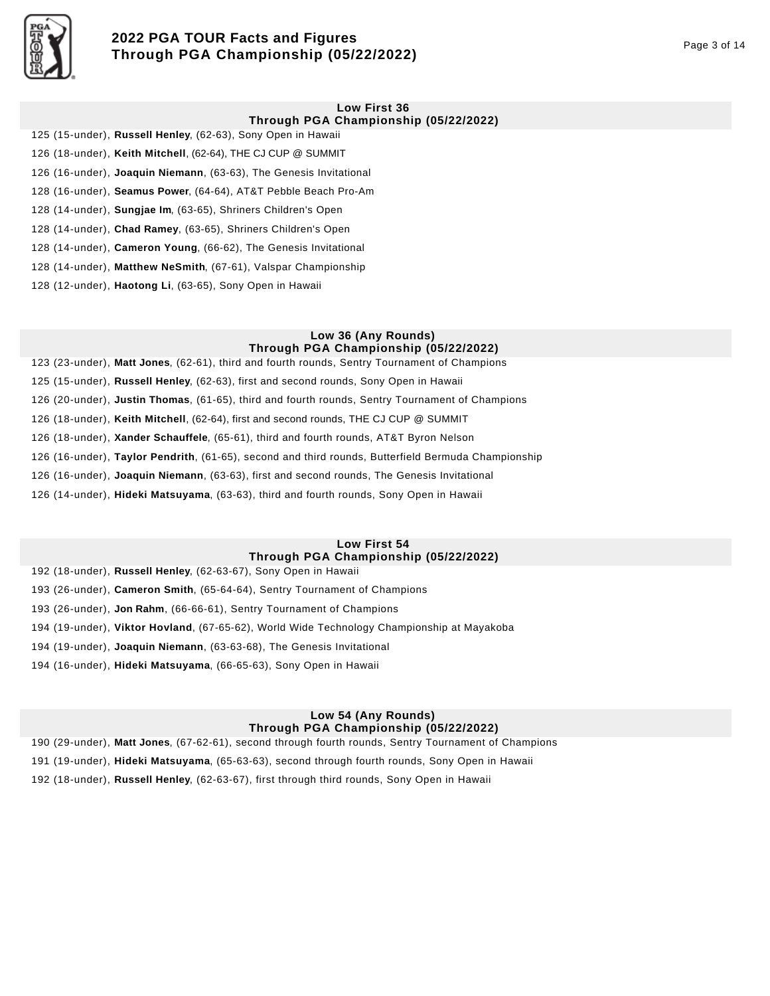

# **2022 PGA TOUR Facts and Figures Through PGA Championship (05/22/2022)** Page 3 of 14

#### **Low First 36 Through PGA Championship (05/22/2022)**

125 (15-under), **Russell Henley**, (62-63), Sony Open in Hawaii 126 (18-under), **Keith Mitchell**, (62-64), THE CJ CUP @ SUMMIT 126 (16-under), **Joaquin Niemann**, (63-63), The Genesis Invitational 128 (16-under), **Seamus Power**, (64-64), AT&T Pebble Beach Pro-Am 128 (14-under), **Sungjae Im**, (63-65), Shriners Children's Open 128 (14-under), **Chad Ramey**, (63-65), Shriners Children's Open 128 (14-under), **Cameron Young**, (66-62), The Genesis Invitational 128 (14-under), **Matthew NeSmith**, (67-61), Valspar Championship

128 (12-under), **Haotong Li**, (63-65), Sony Open in Hawaii

#### **Low 36 (Any Rounds) Through PGA Championship (05/22/2022)**

123 (23-under), **Matt Jones**, (62-61), third and fourth rounds, Sentry Tournament of Champions 125 (15-under), **Russell Henley**, (62-63), first and second rounds, Sony Open in Hawaii 126 (20-under), **Justin Thomas**, (61-65), third and fourth rounds, Sentry Tournament of Champions 126 (18-under), **Keith Mitchell**, (62-64), first and second rounds, THE CJ CUP @ SUMMIT 126 (18-under), **Xander Schauffele**, (65-61), third and fourth rounds, AT&T Byron Nelson 126 (16-under), **Taylor Pendrith**, (61-65), second and third rounds, Butterfield Bermuda Championship 126 (16-under), **Joaquin Niemann**, (63-63), first and second rounds, The Genesis Invitational 126 (14-under), **Hideki Matsuyama**, (63-63), third and fourth rounds, Sony Open in Hawaii

## **Low First 54 Through PGA Championship (05/22/2022)**

192 (18-under), **Russell Henley**, (62-63-67), Sony Open in Hawaii 193 (26-under), **Cameron Smith**, (65-64-64), Sentry Tournament of Champions 193 (26-under), **Jon Rahm**, (66-66-61), Sentry Tournament of Champions 194 (19-under), **Viktor Hovland**, (67-65-62), World Wide Technology Championship at Mayakoba 194 (19-under), **Joaquin Niemann**, (63-63-68), The Genesis Invitational 194 (16-under), **Hideki Matsuyama**, (66-65-63), Sony Open in Hawaii

## **Low 54 (Any Rounds) Through PGA Championship (05/22/2022)**

190 (29-under), **Matt Jones**, (67-62-61), second through fourth rounds, Sentry Tournament of Champions 191 (19-under), **Hideki Matsuyama**, (65-63-63), second through fourth rounds, Sony Open in Hawaii 192 (18-under), **Russell Henley**, (62-63-67), first through third rounds, Sony Open in Hawaii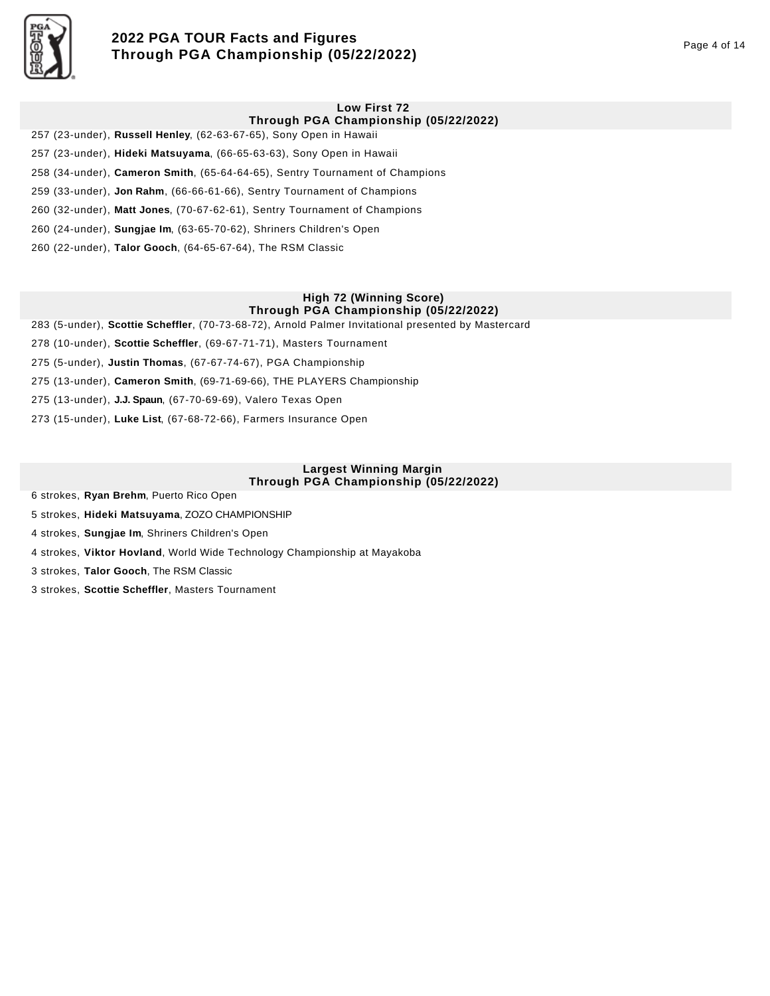

# **2022 PGA TOUR Facts and Figures Through PGA Championship (05/22/2022)** Page 4 of 14

### **Low First 72**

## **Through PGA Championship (05/22/2022)**

257 (23-under), **Russell Henley**, (62-63-67-65), Sony Open in Hawaii 257 (23-under), **Hideki Matsuyama**, (66-65-63-63), Sony Open in Hawaii 258 (34-under), **Cameron Smith**, (65-64-64-65), Sentry Tournament of Champions 259 (33-under), **Jon Rahm**, (66-66-61-66), Sentry Tournament of Champions 260 (32-under), **Matt Jones**, (70-67-62-61), Sentry Tournament of Champions 260 (24-under), **Sungjae Im**, (63-65-70-62), Shriners Children's Open 260 (22-under), **Talor Gooch**, (64-65-67-64), The RSM Classic

### **High 72 (Winning Score) Through PGA Championship (05/22/2022)**

283 (5-under), **Scottie Scheffler**, (70-73-68-72), Arnold Palmer Invitational presented by Mastercard

278 (10-under), **Scottie Scheffler**, (69-67-71-71), Masters Tournament

275 (5-under), **Justin Thomas**, (67-67-74-67), PGA Championship

275 (13-under), **Cameron Smith**, (69-71-69-66), THE PLAYERS Championship

275 (13-under), **J.J. Spaun**, (67-70-69-69), Valero Texas Open

273 (15-under), **Luke List**, (67-68-72-66), Farmers Insurance Open

### **Largest Winning Margin Through PGA Championship (05/22/2022)**

6 strokes, **Ryan Brehm**, Puerto Rico Open

5 strokes, **Hideki Matsuyama**, ZOZO CHAMPIONSHIP

4 strokes, **Sungjae Im**, Shriners Children's Open

4 strokes, **Viktor Hovland**, World Wide Technology Championship at Mayakoba

3 strokes, **Talor Gooch**, The RSM Classic

3 strokes, **Scottie Scheffler**, Masters Tournament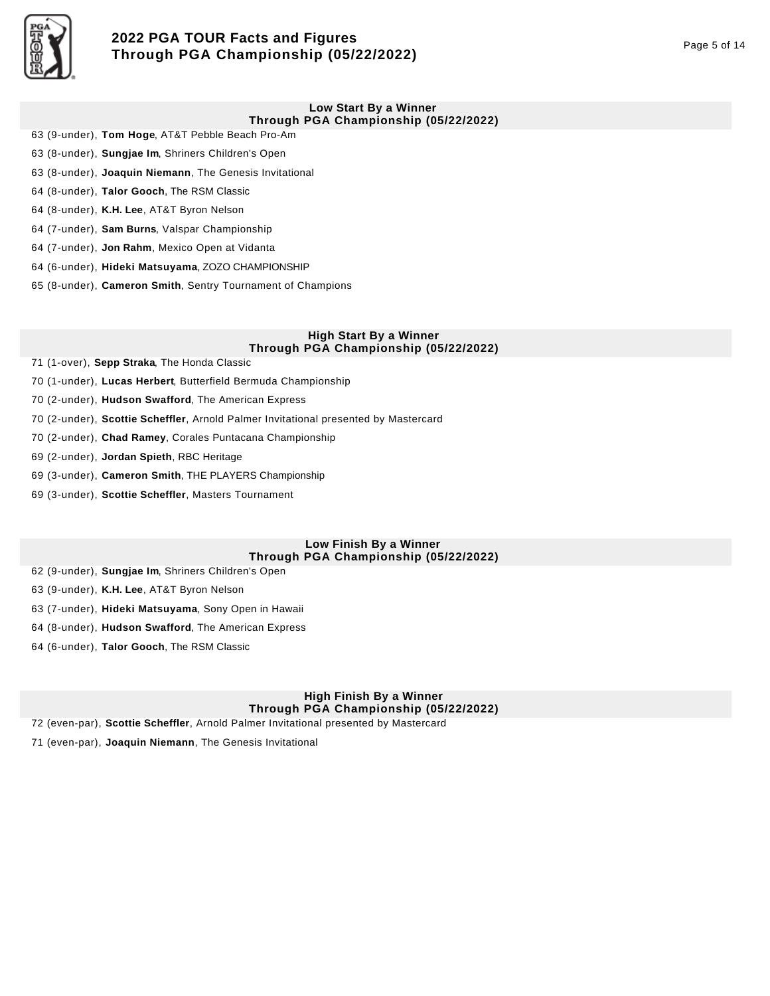

# **2022 PGA TOUR Facts and Figures Through PGA Championship (05/22/2022)** Page 5 of 14

### **Low Start By a Winner Through PGA Championship (05/22/2022)**

- 63 (9-under), **Tom Hoge**, AT&T Pebble Beach Pro-Am
- 63 (8-under), **Sungjae Im**, Shriners Children's Open
- 63 (8-under), **Joaquin Niemann**, The Genesis Invitational
- 64 (8-under), **Talor Gooch**, The RSM Classic
- 64 (8-under), **K.H. Lee**, AT&T Byron Nelson
- 64 (7-under), **Sam Burns**, Valspar Championship
- 64 (7-under), **Jon Rahm**, Mexico Open at Vidanta
- 64 (6-under), **Hideki Matsuyama**, ZOZO CHAMPIONSHIP
- 65 (8-under), **Cameron Smith**, Sentry Tournament of Champions

#### **High Start By a Winner Through PGA Championship (05/22/2022)**

- 71 (1-over), **Sepp Straka**, The Honda Classic
- 70 (1-under), **Lucas Herbert**, Butterfield Bermuda Championship
- 70 (2-under), **Hudson Swafford**, The American Express
- 70 (2-under), **Scottie Scheffler**, Arnold Palmer Invitational presented by Mastercard
- 70 (2-under), **Chad Ramey**, Corales Puntacana Championship
- 69 (2-under), **Jordan Spieth**, RBC Heritage
- 69 (3-under), **Cameron Smith**, THE PLAYERS Championship
- 69 (3-under), **Scottie Scheffler**, Masters Tournament

### **Low Finish By a Winner Through PGA Championship (05/22/2022)**

- 62 (9-under), **Sungjae Im**, Shriners Children's Open
- 63 (9-under), **K.H. Lee**, AT&T Byron Nelson
- 63 (7-under), **Hideki Matsuyama**, Sony Open in Hawaii
- 64 (8-under), **Hudson Swafford**, The American Express
- 64 (6-under), **Talor Gooch**, The RSM Classic

## **High Finish By a Winner Through PGA Championship (05/22/2022)**

72 (even-par), **Scottie Scheffler**, Arnold Palmer Invitational presented by Mastercard

71 (even-par), **Joaquin Niemann**, The Genesis Invitational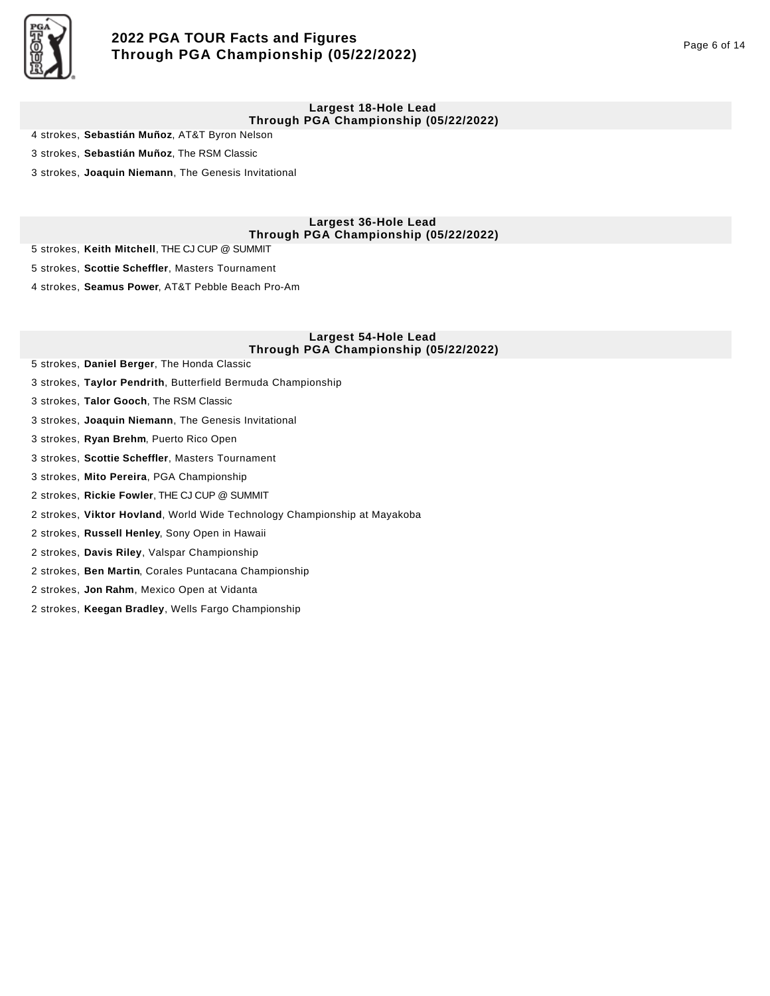

# **2022 PGA TOUR Facts and Figures Through PGA Championship (05/22/2022)** Page 6 of 14

#### **Largest 18-Hole Lead Through PGA Championship (05/22/2022)**

4 strokes, **Sebastián Muñoz**, AT&T Byron Nelson

3 strokes, **Sebastián Muñoz**, The RSM Classic

3 strokes, **Joaquin Niemann**, The Genesis Invitational

**Largest 36-Hole Lead Through PGA Championship (05/22/2022)** 

5 strokes, **Keith Mitchell**, THE CJ CUP @ SUMMIT

5 strokes, **Scottie Scheffler**, Masters Tournament

4 strokes, **Seamus Power**, AT&T Pebble Beach Pro-Am

### **Largest 54-Hole Lead Through PGA Championship (05/22/2022)**

- 5 strokes, **Daniel Berger**, The Honda Classic
- 3 strokes, **Taylor Pendrith**, Butterfield Bermuda Championship

3 strokes, **Talor Gooch**, The RSM Classic

- 3 strokes, **Joaquin Niemann**, The Genesis Invitational
- 3 strokes, **Ryan Brehm**, Puerto Rico Open
- 3 strokes, **Scottie Scheffler**, Masters Tournament
- 3 strokes, **Mito Pereira**, PGA Championship
- 2 strokes, **Rickie Fowler**, THE CJ CUP @ SUMMIT
- 2 strokes, **Viktor Hovland**, World Wide Technology Championship at Mayakoba
- 2 strokes, **Russell Henley**, Sony Open in Hawaii
- 2 strokes, **Davis Riley**, Valspar Championship
- 2 strokes, **Ben Martin**, Corales Puntacana Championship
- 2 strokes, **Jon Rahm**, Mexico Open at Vidanta
- 2 strokes, **Keegan Bradley**, Wells Fargo Championship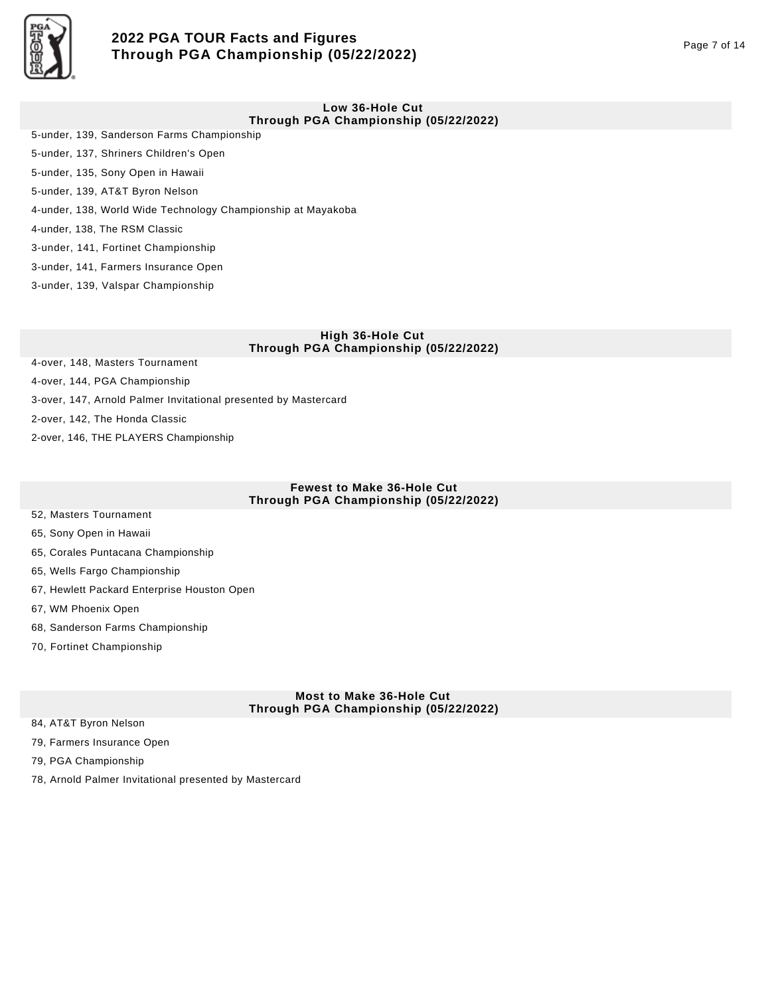

# **2022 PGA TOUR Facts and Figures Through PGA Championship (05/22/2022)** Page 7 of 14

#### **Low 36-Hole Cut Through PGA Championship (05/22/2022)**

- 5-under, 139, Sanderson Farms Championship 5-under, 137, Shriners Children's Open 5-under, 135, Sony Open in Hawaii 5-under, 139, AT&T Byron Nelson 4-under, 138, World Wide Technology Championship at Mayakoba 4-under, 138, The RSM Classic 3-under, 141, Fortinet Championship
- 3-under, 141, Farmers Insurance Open
- 3-under, 139, Valspar Championship

#### **High 36-Hole Cut Through PGA Championship (05/22/2022)**

- 4-over, 148, Masters Tournament
- 4-over, 144, PGA Championship
- 3-over, 147, Arnold Palmer Invitational presented by Mastercard
- 2-over, 142, The Honda Classic
- 2-over, 146, THE PLAYERS Championship

### **Fewest to Make 36-Hole Cut Through PGA Championship (05/22/2022)**

- 52, Masters Tournament
- 65, Sony Open in Hawaii
- 65, Corales Puntacana Championship
- 65, Wells Fargo Championship
- 67, Hewlett Packard Enterprise Houston Open
- 67, WM Phoenix Open
- 68, Sanderson Farms Championship
- 70, Fortinet Championship

### **Most to Make 36-Hole Cut Through PGA Championship (05/22/2022)**

- 84, AT&T Byron Nelson
- 79, Farmers Insurance Open
- 79, PGA Championship
- 78, Arnold Palmer Invitational presented by Mastercard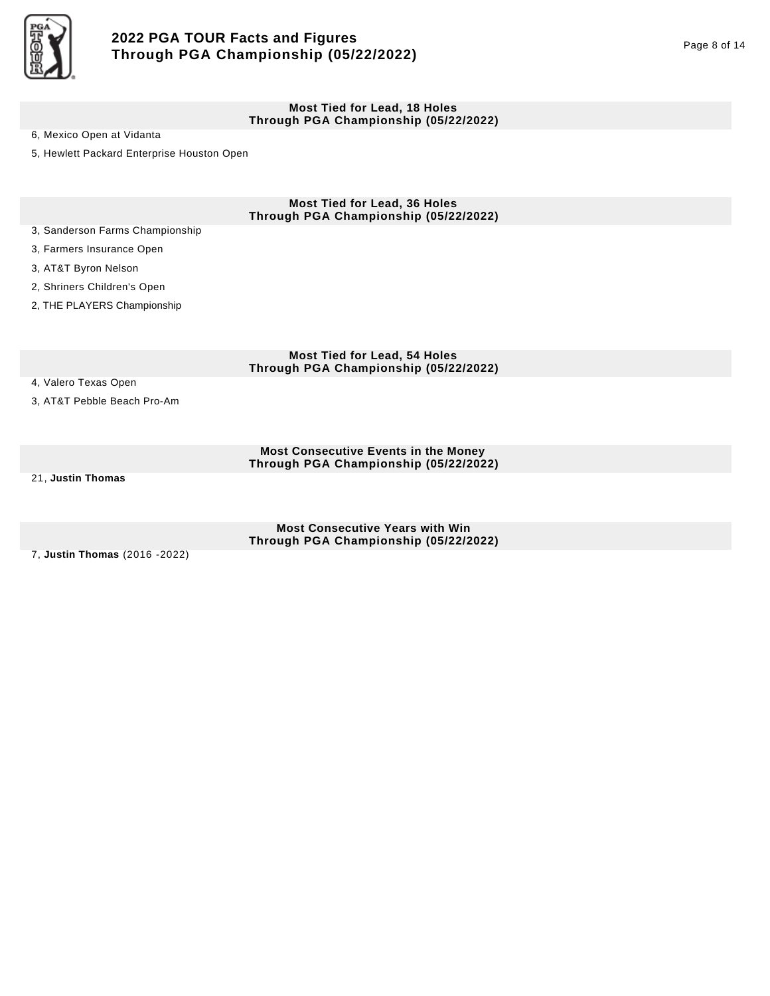

#### **Most Tied for Lead, 18 Holes Through PGA Championship (05/22/2022)**

6, Mexico Open at Vidanta

5, Hewlett Packard Enterprise Houston Open

**Most Tied for Lead, 36 Holes Through PGA Championship (05/22/2022)** 

- 3, Sanderson Farms Championship
- 3, Farmers Insurance Open
- 3, AT&T Byron Nelson
- 2, Shriners Children's Open
- 2, THE PLAYERS Championship

**Most Tied for Lead, 54 Holes Through PGA Championship (05/22/2022)** 

- 4, Valero Texas Open
- 3, AT&T Pebble Beach Pro-Am

**Most Consecutive Events in the Money Through PGA Championship (05/22/2022)** 

21, **Justin Thomas**

**Most Consecutive Years with Win Through PGA Championship (05/22/2022)** 

7, **Justin Thomas** (2016 -2022)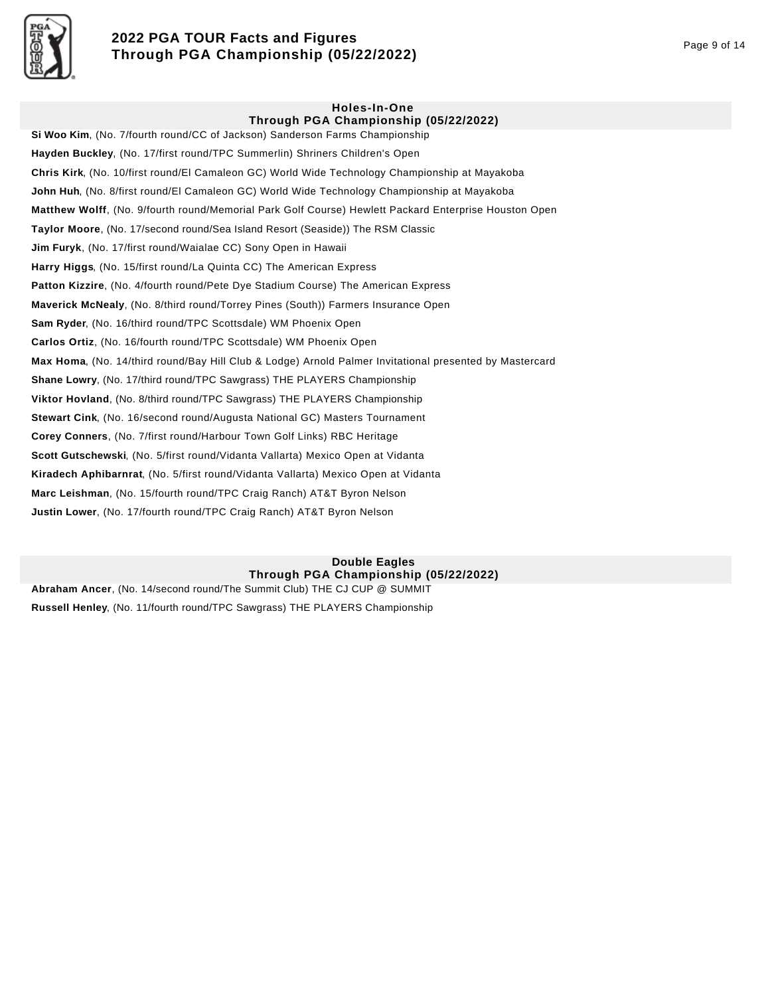

# **2022 PGA TOUR Facts and Figures Through PGA Championship (05/22/2022)** Page 9 of 14

## **Holes-In-One**

**Through PGA Championship (05/22/2022) Si Woo Kim**, (No. 7/fourth round/CC of Jackson) Sanderson Farms Championship **Hayden Buckley**, (No. 17/first round/TPC Summerlin) Shriners Children's Open **Chris Kirk**, (No. 10/first round/El Camaleon GC) World Wide Technology Championship at Mayakoba **John Huh**, (No. 8/first round/El Camaleon GC) World Wide Technology Championship at Mayakoba **Matthew Wolff**, (No. 9/fourth round/Memorial Park Golf Course) Hewlett Packard Enterprise Houston Open **Taylor Moore**, (No. 17/second round/Sea Island Resort (Seaside)) The RSM Classic **Jim Furyk**, (No. 17/first round/Waialae CC) Sony Open in Hawaii **Harry Higgs**, (No. 15/first round/La Quinta CC) The American Express **Patton Kizzire**, (No. 4/fourth round/Pete Dye Stadium Course) The American Express **Maverick McNealy**, (No. 8/third round/Torrey Pines (South)) Farmers Insurance Open **Sam Ryder**, (No. 16/third round/TPC Scottsdale) WM Phoenix Open **Carlos Ortiz**, (No. 16/fourth round/TPC Scottsdale) WM Phoenix Open **Max Homa**, (No. 14/third round/Bay Hill Club & Lodge) Arnold Palmer Invitational presented by Mastercard **Shane Lowry**, (No. 17/third round/TPC Sawgrass) THE PLAYERS Championship **Viktor Hovland**, (No. 8/third round/TPC Sawgrass) THE PLAYERS Championship **Stewart Cink**, (No. 16/second round/Augusta National GC) Masters Tournament **Corey Conners**, (No. 7/first round/Harbour Town Golf Links) RBC Heritage **Scott Gutschewski**, (No. 5/first round/Vidanta Vallarta) Mexico Open at Vidanta **Kiradech Aphibarnrat**, (No. 5/first round/Vidanta Vallarta) Mexico Open at Vidanta **Marc Leishman**, (No. 15/fourth round/TPC Craig Ranch) AT&T Byron Nelson **Justin Lower**, (No. 17/fourth round/TPC Craig Ranch) AT&T Byron Nelson

### **Double Eagles Through PGA Championship (05/22/2022)**

**Abraham Ancer**, (No. 14/second round/The Summit Club) THE CJ CUP @ SUMMIT **Russell Henley**, (No. 11/fourth round/TPC Sawgrass) THE PLAYERS Championship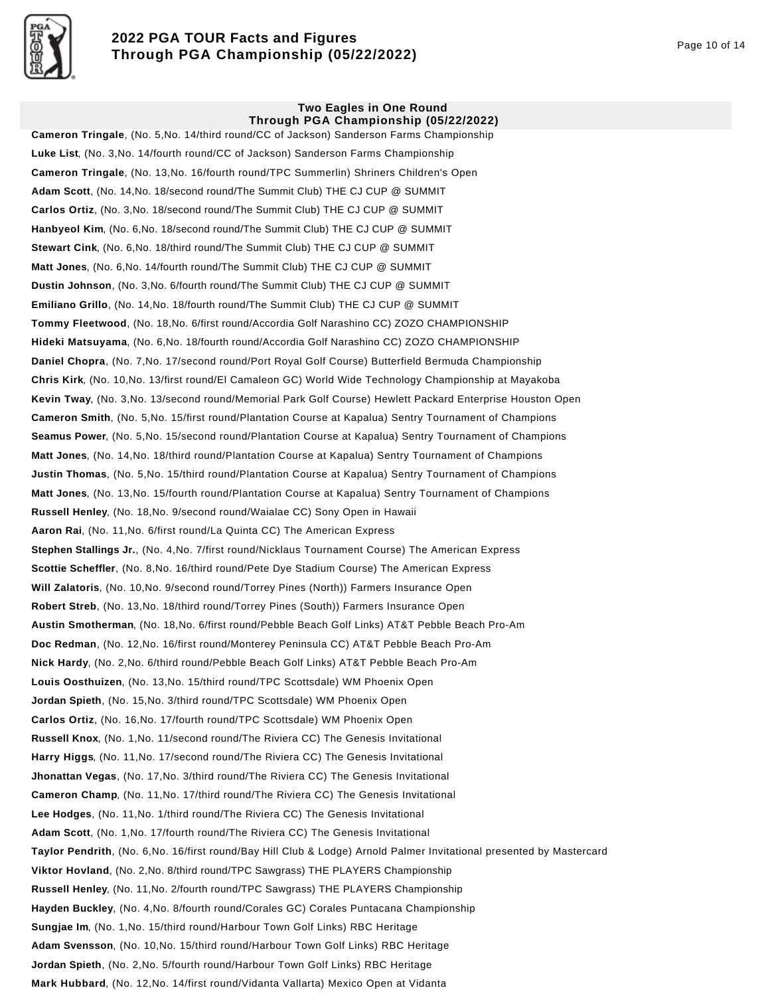

# **2022 PGA TOUR Facts and Figures Through PGA Championship (05/22/2022)** Page 10 of 14

#### **Two Eagles in One Round Through PGA Championship (05/22/2022)**

**Cameron Tringale**, (No. 5,No. 14/third round/CC of Jackson) Sanderson Farms Championship **Luke List**, (No. 3,No. 14/fourth round/CC of Jackson) Sanderson Farms Championship **Cameron Tringale**, (No. 13,No. 16/fourth round/TPC Summerlin) Shriners Children's Open **Adam Scott**, (No. 14,No. 18/second round/The Summit Club) THE CJ CUP @ SUMMIT **Carlos Ortiz**, (No. 3,No. 18/second round/The Summit Club) THE CJ CUP @ SUMMIT **Hanbyeol Kim**, (No. 6,No. 18/second round/The Summit Club) THE CJ CUP @ SUMMIT **Stewart Cink**, (No. 6,No. 18/third round/The Summit Club) THE CJ CUP @ SUMMIT **Matt Jones**, (No. 6,No. 14/fourth round/The Summit Club) THE CJ CUP @ SUMMIT **Dustin Johnson**, (No. 3,No. 6/fourth round/The Summit Club) THE CJ CUP @ SUMMIT **Emiliano Grillo**, (No. 14,No. 18/fourth round/The Summit Club) THE CJ CUP @ SUMMIT **Tommy Fleetwood**, (No. 18,No. 6/first round/Accordia Golf Narashino CC) ZOZO CHAMPIONSHIP **Hideki Matsuyama**, (No. 6,No. 18/fourth round/Accordia Golf Narashino CC) ZOZO CHAMPIONSHIP **Daniel Chopra**, (No. 7,No. 17/second round/Port Royal Golf Course) Butterfield Bermuda Championship **Chris Kirk**, (No. 10,No. 13/first round/El Camaleon GC) World Wide Technology Championship at Mayakoba **Kevin Tway**, (No. 3,No. 13/second round/Memorial Park Golf Course) Hewlett Packard Enterprise Houston Open **Cameron Smith**, (No. 5,No. 15/first round/Plantation Course at Kapalua) Sentry Tournament of Champions **Seamus Power**, (No. 5,No. 15/second round/Plantation Course at Kapalua) Sentry Tournament of Champions **Matt Jones**, (No. 14,No. 18/third round/Plantation Course at Kapalua) Sentry Tournament of Champions **Justin Thomas**, (No. 5,No. 15/third round/Plantation Course at Kapalua) Sentry Tournament of Champions **Matt Jones**, (No. 13,No. 15/fourth round/Plantation Course at Kapalua) Sentry Tournament of Champions **Russell Henley**, (No. 18,No. 9/second round/Waialae CC) Sony Open in Hawaii **Aaron Rai**, (No. 11,No. 6/first round/La Quinta CC) The American Express **Stephen Stallings Jr.**, (No. 4,No. 7/first round/Nicklaus Tournament Course) The American Express **Scottie Scheffler**, (No. 8,No. 16/third round/Pete Dye Stadium Course) The American Express **Will Zalatoris**, (No. 10,No. 9/second round/Torrey Pines (North)) Farmers Insurance Open **Robert Streb**, (No. 13,No. 18/third round/Torrey Pines (South)) Farmers Insurance Open **Austin Smotherman**, (No. 18,No. 6/first round/Pebble Beach Golf Links) AT&T Pebble Beach Pro-Am **Doc Redman**, (No. 12,No. 16/first round/Monterey Peninsula CC) AT&T Pebble Beach Pro-Am **Nick Hardy**, (No. 2,No. 6/third round/Pebble Beach Golf Links) AT&T Pebble Beach Pro-Am **Louis Oosthuizen**, (No. 13,No. 15/third round/TPC Scottsdale) WM Phoenix Open **Jordan Spieth**, (No. 15,No. 3/third round/TPC Scottsdale) WM Phoenix Open **Carlos Ortiz**, (No. 16,No. 17/fourth round/TPC Scottsdale) WM Phoenix Open **Russell Knox**, (No. 1,No. 11/second round/The Riviera CC) The Genesis Invitational **Harry Higgs**, (No. 11,No. 17/second round/The Riviera CC) The Genesis Invitational **Jhonattan Vegas**, (No. 17,No. 3/third round/The Riviera CC) The Genesis Invitational **Cameron Champ**, (No. 11,No. 17/third round/The Riviera CC) The Genesis Invitational **Lee Hodges**, (No. 11,No. 1/third round/The Riviera CC) The Genesis Invitational **Adam Scott**, (No. 1,No. 17/fourth round/The Riviera CC) The Genesis Invitational **Taylor Pendrith**, (No. 6,No. 16/first round/Bay Hill Club & Lodge) Arnold Palmer Invitational presented by Mastercard **Viktor Hovland**, (No. 2,No. 8/third round/TPC Sawgrass) THE PLAYERS Championship **Russell Henley**, (No. 11,No. 2/fourth round/TPC Sawgrass) THE PLAYERS Championship **Hayden Buckley**, (No. 4,No. 8/fourth round/Corales GC) Corales Puntacana Championship **Sungjae Im**, (No. 1,No. 15/third round/Harbour Town Golf Links) RBC Heritage **Adam Svensson**, (No. 10,No. 15/third round/Harbour Town Golf Links) RBC Heritage **Jordan Spieth**, (No. 2,No. 5/fourth round/Harbour Town Golf Links) RBC Heritage **Mark Hubbard**, (No. 12,No. 14/first round/Vidanta Vallarta) Mexico Open at Vidanta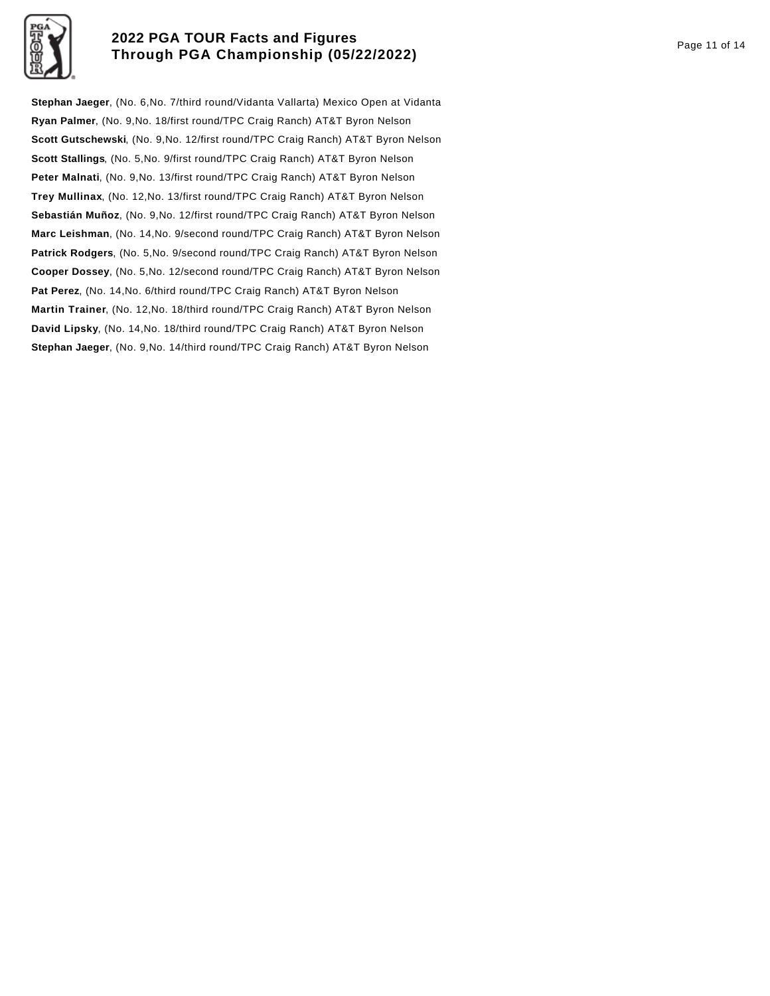

## **2022 PGA TOUR Facts and Figures Through PGA Championship (05/22/2022)** Page 11 of 14

**Stephan Jaeger**, (No. 6,No. 7/third round/Vidanta Vallarta) Mexico Open at Vidanta **Ryan Palmer**, (No. 9,No. 18/first round/TPC Craig Ranch) AT&T Byron Nelson **Scott Gutschewski**, (No. 9,No. 12/first round/TPC Craig Ranch) AT&T Byron Nelson **Scott Stallings**, (No. 5,No. 9/first round/TPC Craig Ranch) AT&T Byron Nelson **Peter Malnati**, (No. 9,No. 13/first round/TPC Craig Ranch) AT&T Byron Nelson **Trey Mullinax**, (No. 12,No. 13/first round/TPC Craig Ranch) AT&T Byron Nelson **Sebastián Muñoz**, (No. 9,No. 12/first round/TPC Craig Ranch) AT&T Byron Nelson **Marc Leishman**, (No. 14,No. 9/second round/TPC Craig Ranch) AT&T Byron Nelson **Patrick Rodgers**, (No. 5,No. 9/second round/TPC Craig Ranch) AT&T Byron Nelson **Cooper Dossey**, (No. 5,No. 12/second round/TPC Craig Ranch) AT&T Byron Nelson **Pat Perez**, (No. 14,No. 6/third round/TPC Craig Ranch) AT&T Byron Nelson **Martin Trainer**, (No. 12,No. 18/third round/TPC Craig Ranch) AT&T Byron Nelson **David Lipsky**, (No. 14,No. 18/third round/TPC Craig Ranch) AT&T Byron Nelson **Stephan Jaeger**, (No. 9,No. 14/third round/TPC Craig Ranch) AT&T Byron Nelson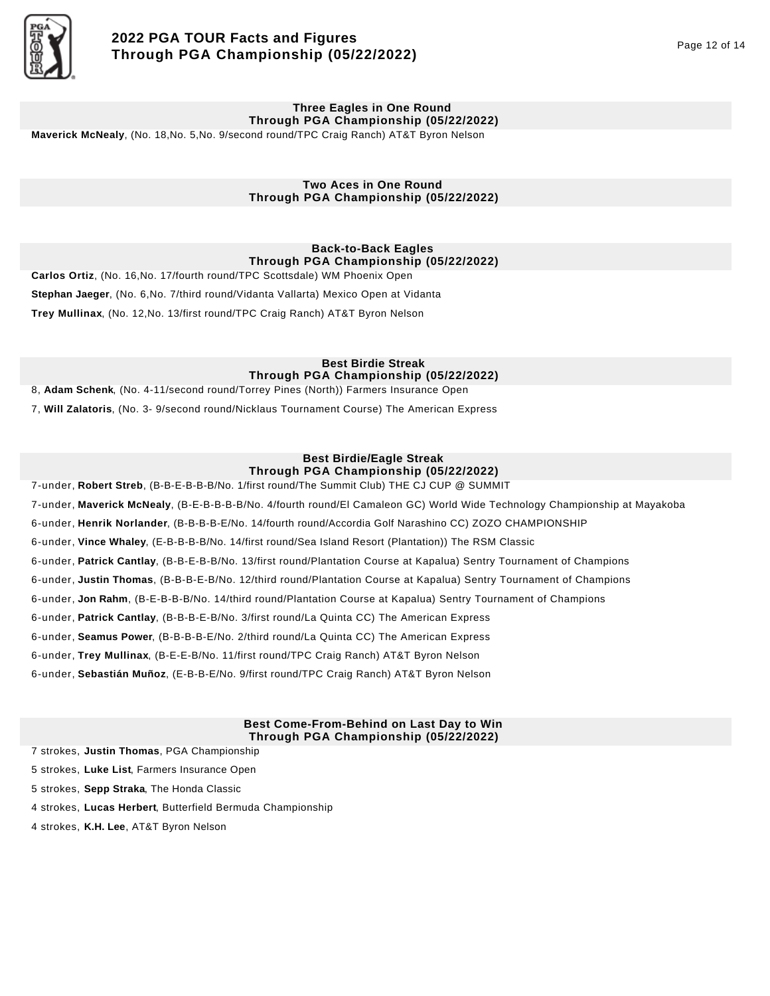

#### **Three Eagles in One Round Through PGA Championship (05/22/2022)**

**Maverick McNealy**, (No. 18,No. 5,No. 9/second round/TPC Craig Ranch) AT&T Byron Nelson

### **Two Aces in One Round Through PGA Championship (05/22/2022)**

## **Back-to-Back Eagles Through PGA Championship (05/22/2022)**

**Carlos Ortiz**, (No. 16,No. 17/fourth round/TPC Scottsdale) WM Phoenix Open **Stephan Jaeger**, (No. 6,No. 7/third round/Vidanta Vallarta) Mexico Open at Vidanta **Trey Mullinax**, (No. 12,No. 13/first round/TPC Craig Ranch) AT&T Byron Nelson

## **Best Birdie Streak Through PGA Championship (05/22/2022)**

8, **Adam Schenk**, (No. 4-11/second round/Torrey Pines (North)) Farmers Insurance Open

7, **Will Zalatoris**, (No. 3- 9/second round/Nicklaus Tournament Course) The American Express

## **Best Birdie/Eagle Streak Through PGA Championship (05/22/2022)**

7-under, **Robert Streb**, (B-B-E-B-B-B/No. 1/first round/The Summit Club) THE CJ CUP @ SUMMIT

7-under, **Maverick McNealy**, (B-E-B-B-B-B/No. 4/fourth round/El Camaleon GC) World Wide Technology Championship at Mayakoba

6-under, **Henrik Norlander**, (B-B-B-B-E/No. 14/fourth round/Accordia Golf Narashino CC) ZOZO CHAMPIONSHIP

6-under, **Vince Whaley**, (E-B-B-B-B/No. 14/first round/Sea Island Resort (Plantation)) The RSM Classic

6-under, **Patrick Cantlay**, (B-B-E-B-B/No. 13/first round/Plantation Course at Kapalua) Sentry Tournament of Champions

6-under, **Justin Thomas**, (B-B-B-E-B/No. 12/third round/Plantation Course at Kapalua) Sentry Tournament of Champions

6-under, **Jon Rahm**, (B-E-B-B-B/No. 14/third round/Plantation Course at Kapalua) Sentry Tournament of Champions

6-under, **Patrick Cantlay**, (B-B-B-E-B/No. 3/first round/La Quinta CC) The American Express

6-under, **Seamus Power**, (B-B-B-B-E/No. 2/third round/La Quinta CC) The American Express

6-under, **Trey Mullinax**, (B-E-E-B/No. 11/first round/TPC Craig Ranch) AT&T Byron Nelson

6-under, **Sebastián Muñoz**, (E-B-B-E/No. 9/first round/TPC Craig Ranch) AT&T Byron Nelson

### **Best Come-From-Behind on Last Day to Win Through PGA Championship (05/22/2022)**

7 strokes, **Justin Thomas**, PGA Championship

5 strokes, **Luke List**, Farmers Insurance Open

5 strokes, **Sepp Straka**, The Honda Classic

4 strokes, **Lucas Herbert**, Butterfield Bermuda Championship

4 strokes, **K.H. Lee**, AT&T Byron Nelson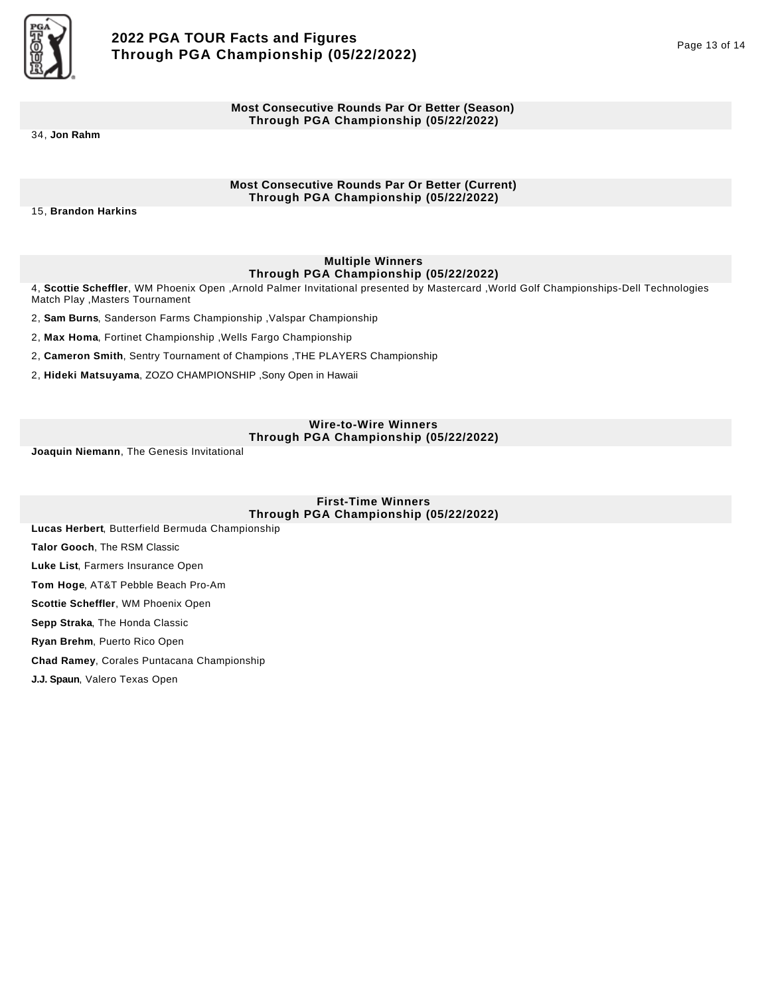

### **Most Consecutive Rounds Par Or Better (Season) Through PGA Championship (05/22/2022)**

34, **Jon Rahm**

### **Most Consecutive Rounds Par Or Better (Current) Through PGA Championship (05/22/2022)**

15, **Brandon Harkins**

## **Multiple Winners Through PGA Championship (05/22/2022)**

4, **Scottie Scheffler**, WM Phoenix Open ,Arnold Palmer Invitational presented by Mastercard ,World Golf Championships-Dell Technologies Match Play ,Masters Tournament

2, **Sam Burns**, Sanderson Farms Championship ,Valspar Championship

2, **Max Homa**, Fortinet Championship ,Wells Fargo Championship

2, **Cameron Smith**, Sentry Tournament of Champions ,THE PLAYERS Championship

2, **Hideki Matsuyama**, ZOZO CHAMPIONSHIP ,Sony Open in Hawaii

### **Wire-to-Wire Winners Through PGA Championship (05/22/2022)**

**Joaquin Niemann**, The Genesis Invitational

**First-Time Winners Through PGA Championship (05/22/2022)** 

**Lucas Herbert**, Butterfield Bermuda Championship

**Talor Gooch**, The RSM Classic

**Luke List**, Farmers Insurance Open

**Tom Hoge**, AT&T Pebble Beach Pro-Am

**Scottie Scheffler**, WM Phoenix Open

**Sepp Straka**, The Honda Classic

**Ryan Brehm**, Puerto Rico Open

**Chad Ramey**, Corales Puntacana Championship

**J.J. Spaun**, Valero Texas Open